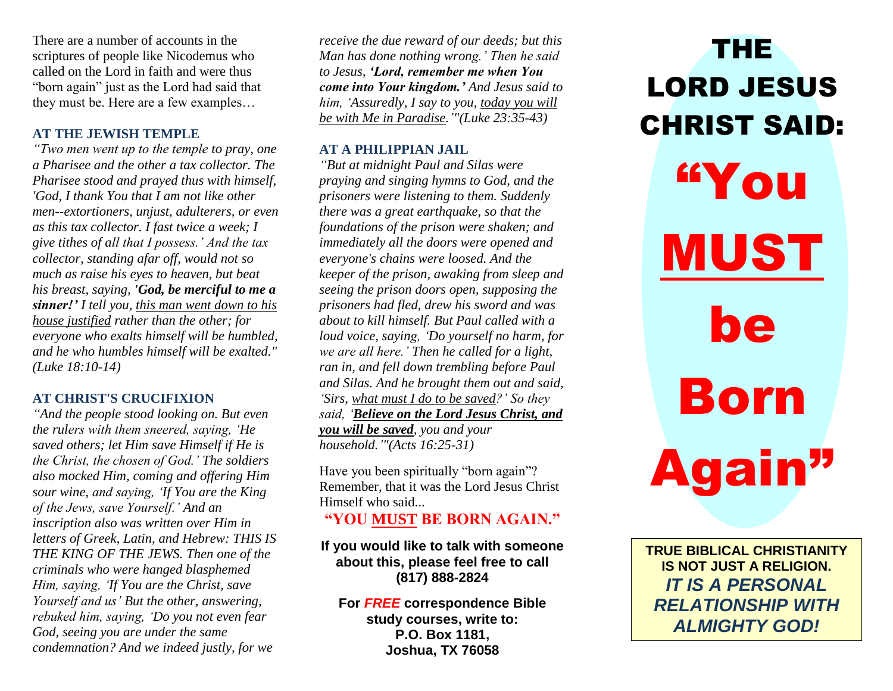There are a number of accounts in the scriptures of people like Nicodemus who called on the Lord in faith and were thus "born again" just as the Lord had said that they must be. Here are a few examples…

# **AT THE JEWISH TEMPLE**

*"Two men went up to the temple to pray, one a Pharisee and the other a tax collector. The Pharisee stood and prayed thus with himself, 'God, I thank You that I am not like other men--extortioners, unjust, adulterers, or even as this tax collector. I fast twice a week; I give tithes of all that I possess.' And the tax collector, standing afar off, would not so much as raise his eyes to heaven, but beat his breast, saying, 'God, be merciful to me a sinner!' I tell you, this man went down to his house justified rather than the other; for everyone who exalts himself will be humbled, and he who humbles himself will be exalted." (Luke 18:10-14)*

### **AT CHRIST'S CRUCIFIXION**

*"And the people stood looking on. But even the rulers with them sneered, saying, 'He saved others; let Him save Himself if He is the Christ, the chosen of God.' The soldiers also mocked Him, coming and offering Him sour wine, and saying, 'If You are the King of the Jews, save Yourself.' And an inscription also was written over Him in letters of Greek, Latin, and Hebrew: THIS IS THE KING OF THE JEWS. Then one of the criminals who were hanged blasphemed Him, saying, 'If You are the Christ, save Yourself and us' But the other, answering, rebuked him, saying, 'Do you not even fear God, seeing you are under the same condemnation? And we indeed justly, for we* 

*receive the due reward of our deeds; but this Man has done nothing wrong.' Then he said to Jesus, 'Lord, remember me when You come into Your kingdom.' And Jesus said to him, 'Assuredly, I say to you, today you will be with Me in Paradise.'"(Luke 23:35-43)*

## **AT A PHILIPPIAN JAIL**

*"But at midnight Paul and Silas were praying and singing hymns to God, and the prisoners were listening to them. Suddenly there was a great earthquake, so that the foundations of the prison were shaken; and immediately all the doors were opened and everyone's chains were loosed. And the keeper of the prison, awaking from sleep and seeing the prison doors open, supposing the prisoners had fled, drew his sword and was about to kill himself. But Paul called with a loud voice, saying, 'Do yourself no harm, for we are all here.' Then he called for a light, ran in, and fell down trembling before Paul and Silas. And he brought them out and said, 'Sirs, what must I do to be saved?' So they said, 'Believe on the Lord Jesus Christ, and you will be saved, you and your household.'"(Acts 16:25-31)*

Have you been spiritually "born again"? Remember, that it was the Lord Jesus Christ Himself who said...

**"YOU MUST BE BORN AGAIN."**

## **If you would like to talk with someone about this, please feel free to call (817) 888-2824**

**For** *FREE* **correspondence Bible study courses, write to: P.O. Box 1181, Joshua, TX 76058**

THE LORD JESUS CHRIST SAID: "You MUST be Born Again"

**TRUE BIBLICAL CHRISTIANITY IS NOT JUST A RELIGION.**  *IT IS A PERSONAL RELATIONSHIP WITH ALMIGHTY GOD!*